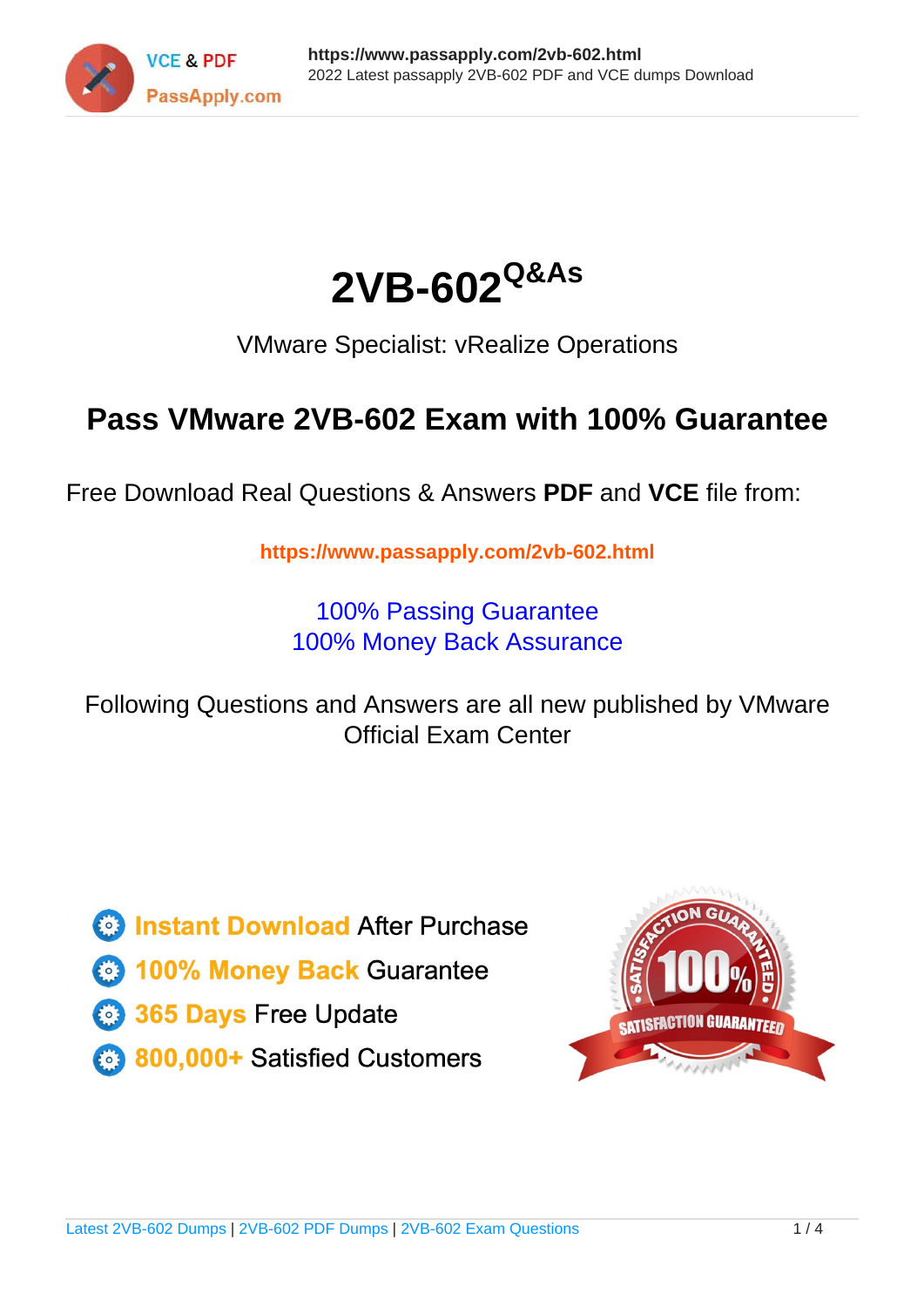



VMware Specialist: vRealize Operations

# **Pass VMware 2VB-602 Exam with 100% Guarantee**

Free Download Real Questions & Answers **PDF** and **VCE** file from:

**https://www.passapply.com/2vb-602.html**

100% Passing Guarantee 100% Money Back Assurance

Following Questions and Answers are all new published by VMware Official Exam Center

**C** Instant Download After Purchase

**83 100% Money Back Guarantee** 

- 365 Days Free Update
- 800,000+ Satisfied Customers

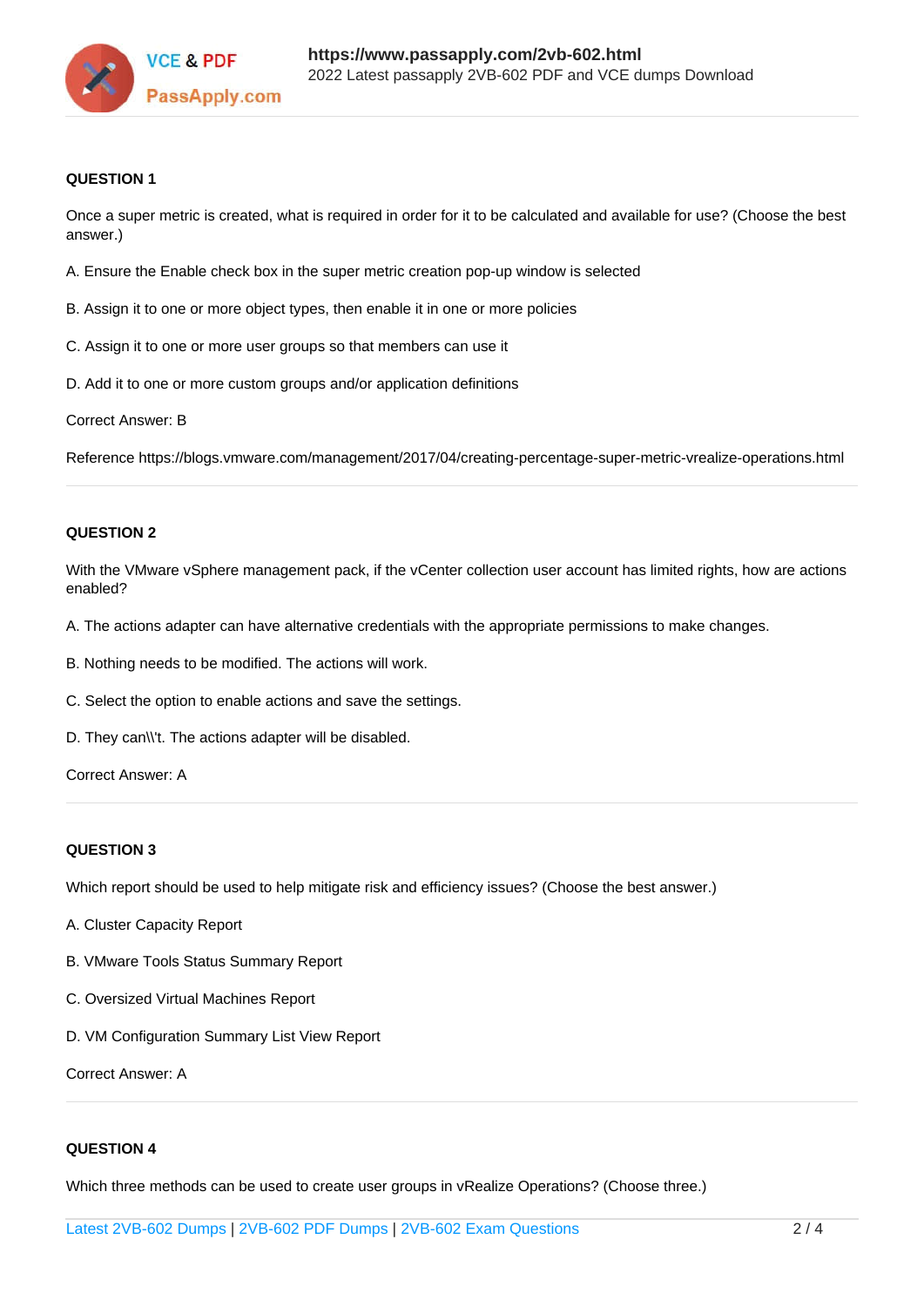

### **QUESTION 1**

Once a super metric is created, what is required in order for it to be calculated and available for use? (Choose the best answer.)

- A. Ensure the Enable check box in the super metric creation pop-up window is selected
- B. Assign it to one or more object types, then enable it in one or more policies
- C. Assign it to one or more user groups so that members can use it
- D. Add it to one or more custom groups and/or application definitions

Correct Answer: B

Reference https://blogs.vmware.com/management/2017/04/creating-percentage-super-metric-vrealize-operations.html

### **QUESTION 2**

With the VMware vSphere management pack, if the vCenter collection user account has limited rights, how are actions enabled?

- A. The actions adapter can have alternative credentials with the appropriate permissions to make changes.
- B. Nothing needs to be modified. The actions will work.
- C. Select the option to enable actions and save the settings.
- D. They can\\'t. The actions adapter will be disabled.

Correct Answer: A

### **QUESTION 3**

Which report should be used to help mitigate risk and efficiency issues? (Choose the best answer.)

- A. Cluster Capacity Report
- B. VMware Tools Status Summary Report
- C. Oversized Virtual Machines Report
- D. VM Configuration Summary List View Report

Correct Answer: A

### **QUESTION 4**

Which three methods can be used to create user groups in vRealize Operations? (Choose three.)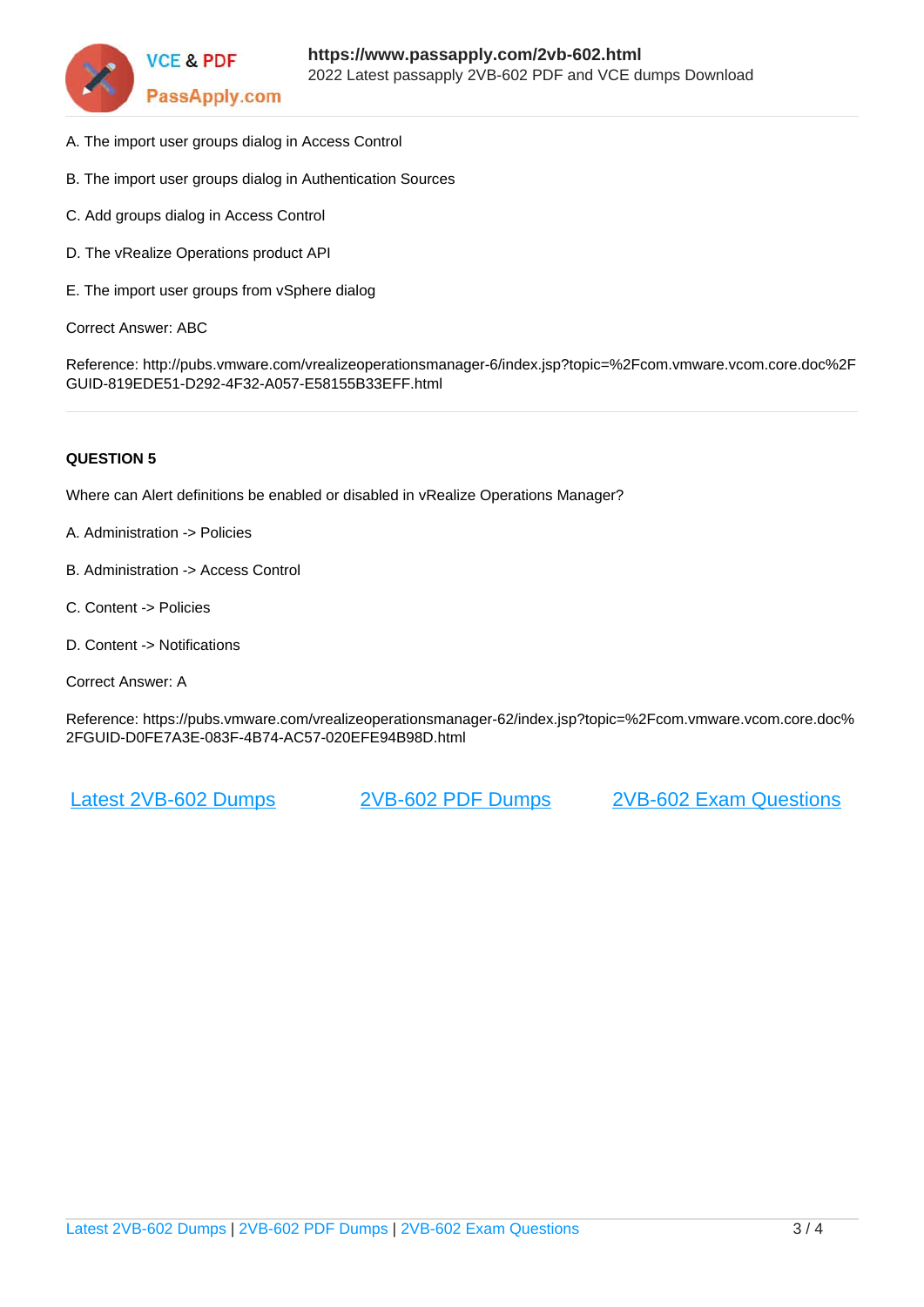

- A. The import user groups dialog in Access Control
- B. The import user groups dialog in Authentication Sources
- C. Add groups dialog in Access Control
- D. The vRealize Operations product API
- E. The import user groups from vSphere dialog

Correct Answer: ABC

Reference: http://pubs.vmware.com/vrealizeoperationsmanager-6/index.jsp?topic=%2Fcom.vmware.vcom.core.doc%2F GUID-819EDE51-D292-4F32-A057-E58155B33EFF.html

### **QUESTION 5**

Where can Alert definitions be enabled or disabled in vRealize Operations Manager?

- A. Administration -> Policies
- B. Administration -> Access Control
- C. Content -> Policies
- D. Content -> Notifications
- Correct Answer: A

Reference: https://pubs.vmware.com/vrealizeoperationsmanager-62/index.jsp?topic=%2Fcom.vmware.vcom.core.doc% 2FGUID-D0FE7A3E-083F-4B74-AC57-020EFE94B98D.html

[Latest 2VB-602 Dumps](https://www.passapply.com/2vb-602.html) [2VB-602 PDF Dumps](https://www.passapply.com/2vb-602.html) [2VB-602 Exam Questions](https://www.passapply.com/2vb-602.html)